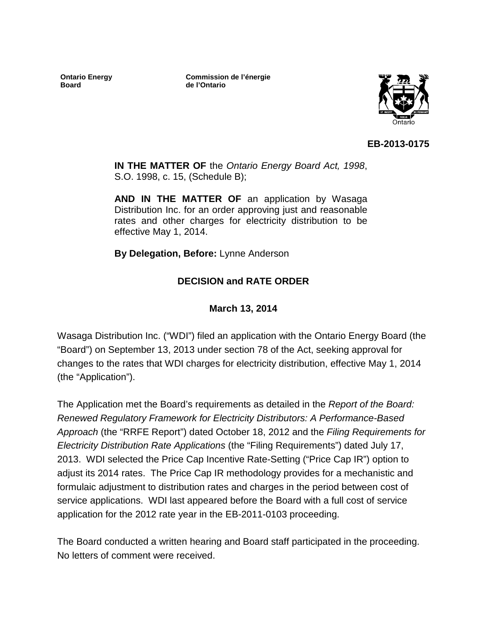**Ontario Energy Board**

**Commission de l'énergie de l'Ontario**



**EB-2013-0175**

**IN THE MATTER OF** the *Ontario Energy Board Act, 1998*, S.O. 1998, c. 15, (Schedule B);

**AND IN THE MATTER OF** an application by Wasaga Distribution Inc. for an order approving just and reasonable rates and other charges for electricity distribution to be effective May 1, 2014.

**By Delegation, Before:** Lynne Anderson

### **DECISION and RATE ORDER**

**March 13, 2014**

Wasaga Distribution Inc. ("WDI") filed an application with the Ontario Energy Board (the "Board") on September 13, 2013 under section 78 of the Act, seeking approval for changes to the rates that WDI charges for electricity distribution, effective May 1, 2014 (the "Application").

The Application met the Board's requirements as detailed in the *Report of the Board: Renewed Regulatory Framework for Electricity Distributors: A Performance-Based Approach* (the "RRFE Report") dated October 18, 2012 and the *Filing Requirements for Electricity Distribution Rate Applications* (the "Filing Requirements") dated July 17, 2013. WDI selected the Price Cap Incentive Rate-Setting ("Price Cap IR") option to adjust its 2014 rates. The Price Cap IR methodology provides for a mechanistic and formulaic adjustment to distribution rates and charges in the period between cost of service applications. WDI last appeared before the Board with a full cost of service application for the 2012 rate year in the EB-2011-0103 proceeding.

The Board conducted a written hearing and Board staff participated in the proceeding. No letters of comment were received.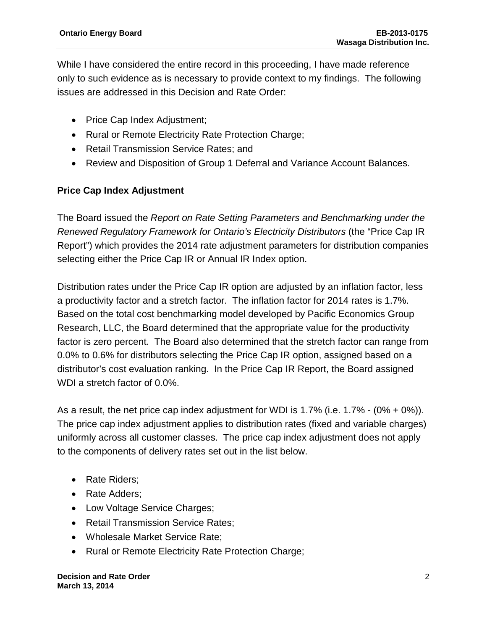While I have considered the entire record in this proceeding, I have made reference only to such evidence as is necessary to provide context to my findings. The following issues are addressed in this Decision and Rate Order:

- Price Cap Index Adjustment;
- Rural or Remote Electricity Rate Protection Charge;
- Retail Transmission Service Rates; and
- Review and Disposition of Group 1 Deferral and Variance Account Balances.

### **Price Cap Index Adjustment**

The Board issued the *Report on Rate Setting Parameters and Benchmarking under the Renewed Regulatory Framework for Ontario's Electricity Distributors* (the "Price Cap IR Report") which provides the 2014 rate adjustment parameters for distribution companies selecting either the Price Cap IR or Annual IR Index option.

Distribution rates under the Price Cap IR option are adjusted by an inflation factor, less a productivity factor and a stretch factor. The inflation factor for 2014 rates is 1.7%. Based on the total cost benchmarking model developed by Pacific Economics Group Research, LLC, the Board determined that the appropriate value for the productivity factor is zero percent. The Board also determined that the stretch factor can range from 0.0% to 0.6% for distributors selecting the Price Cap IR option, assigned based on a distributor's cost evaluation ranking. In the Price Cap IR Report, the Board assigned WDI a stretch factor of 0.0%.

As a result, the net price cap index adjustment for WDI is 1.7% (i.e. 1.7% -  $(0\% + 0\%)$ ). The price cap index adjustment applies to distribution rates (fixed and variable charges) uniformly across all customer classes. The price cap index adjustment does not apply to the components of delivery rates set out in the list below.

- Rate Riders;
- Rate Adders;
- Low Voltage Service Charges;
- Retail Transmission Service Rates:
- Wholesale Market Service Rate;
- Rural or Remote Electricity Rate Protection Charge;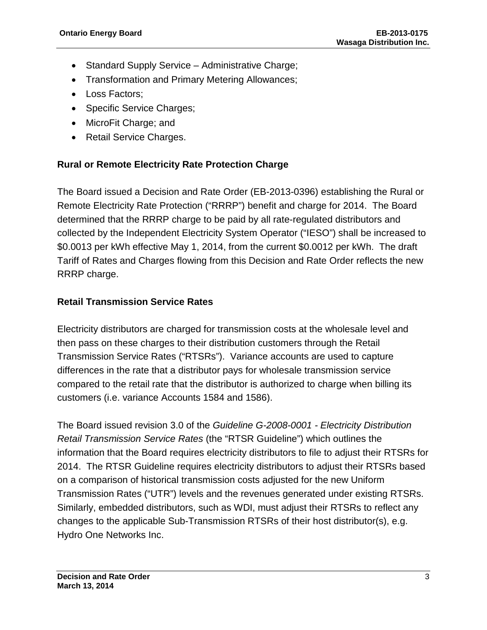- Standard Supply Service Administrative Charge;
- Transformation and Primary Metering Allowances;
- Loss Factors;
- Specific Service Charges;
- MicroFit Charge; and
- Retail Service Charges.

### **Rural or Remote Electricity Rate Protection Charge**

The Board issued a Decision and Rate Order (EB-2013-0396) establishing the Rural or Remote Electricity Rate Protection ("RRRP") benefit and charge for 2014. The Board determined that the RRRP charge to be paid by all rate-regulated distributors and collected by the Independent Electricity System Operator ("IESO") shall be increased to \$0.0013 per kWh effective May 1, 2014, from the current \$0.0012 per kWh. The draft Tariff of Rates and Charges flowing from this Decision and Rate Order reflects the new RRRP charge.

### **Retail Transmission Service Rates**

Electricity distributors are charged for transmission costs at the wholesale level and then pass on these charges to their distribution customers through the Retail Transmission Service Rates ("RTSRs"). Variance accounts are used to capture differences in the rate that a distributor pays for wholesale transmission service compared to the retail rate that the distributor is authorized to charge when billing its customers (i.e. variance Accounts 1584 and 1586).

The Board issued revision 3.0 of the *Guideline G-2008-0001 - Electricity Distribution Retail Transmission Service Rates* (the "RTSR Guideline") which outlines the information that the Board requires electricity distributors to file to adjust their RTSRs for 2014. The RTSR Guideline requires electricity distributors to adjust their RTSRs based on a comparison of historical transmission costs adjusted for the new Uniform Transmission Rates ("UTR") levels and the revenues generated under existing RTSRs. Similarly, embedded distributors, such as WDI, must adjust their RTSRs to reflect any changes to the applicable Sub-Transmission RTSRs of their host distributor(s), e.g. Hydro One Networks Inc.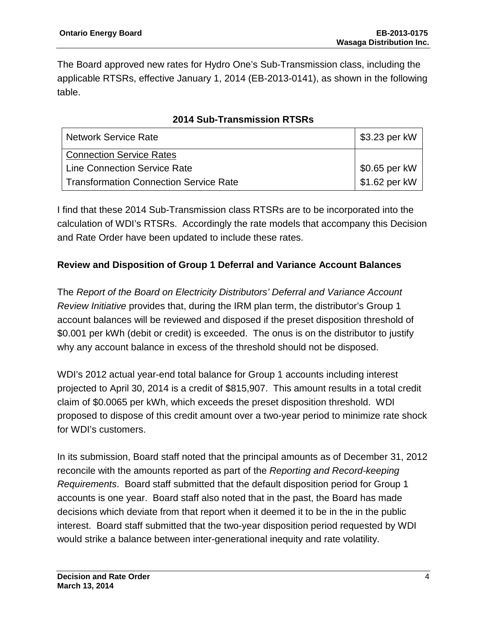The Board approved new rates for Hydro One's Sub-Transmission class, including the applicable RTSRs, effective January 1, 2014 (EB-2013-0141), as shown in the following table.

| <b>Network Service Rate</b>                   | \$3.23 per kW |
|-----------------------------------------------|---------------|
| <b>Connection Service Rates</b>               |               |
| <b>Line Connection Service Rate</b>           | \$0.65 per kW |
| <b>Transformation Connection Service Rate</b> | \$1.62 per kW |

### **2014 Sub-Transmission RTSRs**

I find that these 2014 Sub-Transmission class RTSRs are to be incorporated into the calculation of WDI's RTSRs. Accordingly the rate models that accompany this Decision and Rate Order have been updated to include these rates.

### **Review and Disposition of Group 1 Deferral and Variance Account Balances**

The *Report of the Board on Electricity Distributors' Deferral and Variance Account Review Initiative* provides that, during the IRM plan term, the distributor's Group 1 account balances will be reviewed and disposed if the preset disposition threshold of \$0.001 per kWh (debit or credit) is exceeded. The onus is on the distributor to justify why any account balance in excess of the threshold should not be disposed.

WDI's 2012 actual year-end total balance for Group 1 accounts including interest projected to April 30, 2014 is a credit of \$815,907. This amount results in a total credit claim of \$0.0065 per kWh, which exceeds the preset disposition threshold. WDI proposed to dispose of this credit amount over a two-year period to minimize rate shock for WDI's customers.

In its submission, Board staff noted that the principal amounts as of December 31, 2012 reconcile with the amounts reported as part of the *Reporting and Record-keeping Requirements*. Board staff submitted that the default disposition period for Group 1 accounts is one year. Board staff also noted that in the past, the Board has made decisions which deviate from that report when it deemed it to be in the in the public interest. Board staff submitted that the two-year disposition period requested by WDI would strike a balance between inter-generational inequity and rate volatility.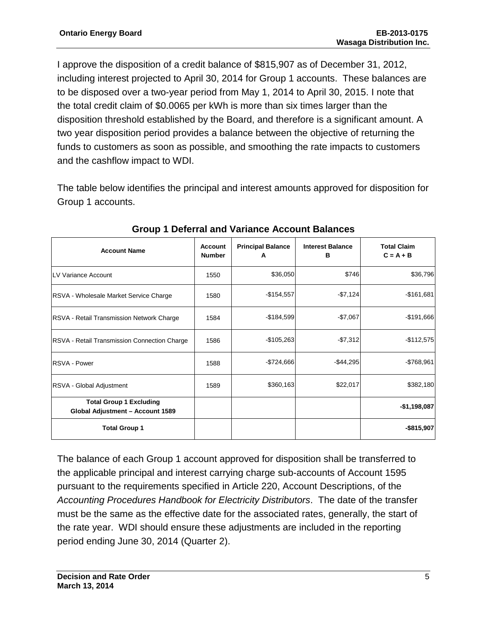I approve the disposition of a credit balance of \$815,907 as of December 31, 2012, including interest projected to April 30, 2014 for Group 1 accounts. These balances are to be disposed over a two-year period from May 1, 2014 to April 30, 2015. I note that the total credit claim of \$0.0065 per kWh is more than six times larger than the disposition threshold established by the Board, and therefore is a significant amount. A two year disposition period provides a balance between the objective of returning the funds to customers as soon as possible, and smoothing the rate impacts to customers and the cashflow impact to WDI.

The table below identifies the principal and interest amounts approved for disposition for Group 1 accounts.

| <b>Account Name</b>                                                | <b>Account</b><br><b>Number</b> | <b>Principal Balance</b><br>A | <b>Interest Balance</b><br>в | <b>Total Claim</b><br>$C = A + B$ |
|--------------------------------------------------------------------|---------------------------------|-------------------------------|------------------------------|-----------------------------------|
| LV Variance Account                                                | 1550                            | \$36,050                      | \$746                        | \$36,796                          |
| RSVA - Wholesale Market Service Charge                             | 1580                            | $-$154,557$                   | $-$7,124$                    | $-$161,681$                       |
| RSVA - Retail Transmission Network Charge                          | 1584                            | $-$ \$184,599                 | $-$7,067$                    | $-$191,666$                       |
| RSVA - Retail Transmission Connection Charge                       | 1586                            | $-$105,263$                   | $-$7,312$                    | $-$112,575$                       |
| RSVA - Power                                                       | 1588                            | $-$724,666$                   | -\$44,295                    | $-$ \$768,961                     |
| RSVA - Global Adjustment                                           | 1589                            | \$360,163                     | \$22,017                     | \$382,180                         |
| <b>Total Group 1 Excluding</b><br>Global Adjustment - Account 1589 |                                 |                               |                              | $-$1,198,087$                     |
| <b>Total Group 1</b>                                               |                                 |                               |                              | $-$ \$815,907                     |

### **Group 1 Deferral and Variance Account Balances**

The balance of each Group 1 account approved for disposition shall be transferred to the applicable principal and interest carrying charge sub-accounts of Account 1595 pursuant to the requirements specified in Article 220, Account Descriptions, of the *Accounting Procedures Handbook for Electricity Distributors*. The date of the transfer must be the same as the effective date for the associated rates, generally, the start of the rate year. WDI should ensure these adjustments are included in the reporting period ending June 30, 2014 (Quarter 2).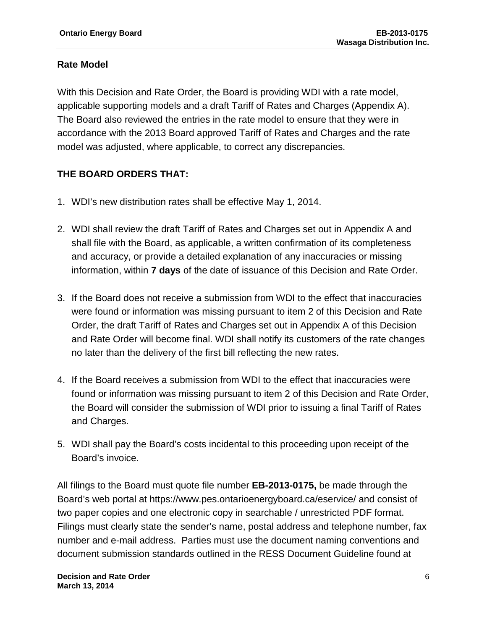### **Rate Model**

With this Decision and Rate Order, the Board is providing WDI with a rate model, applicable supporting models and a draft Tariff of Rates and Charges (Appendix A). The Board also reviewed the entries in the rate model to ensure that they were in accordance with the 2013 Board approved Tariff of Rates and Charges and the rate model was adjusted, where applicable, to correct any discrepancies.

### **THE BOARD ORDERS THAT:**

- 1. WDI's new distribution rates shall be effective May 1, 2014.
- 2. WDI shall review the draft Tariff of Rates and Charges set out in Appendix A and shall file with the Board, as applicable, a written confirmation of its completeness and accuracy, or provide a detailed explanation of any inaccuracies or missing information, within **7 days** of the date of issuance of this Decision and Rate Order.
- 3. If the Board does not receive a submission from WDI to the effect that inaccuracies were found or information was missing pursuant to item 2 of this Decision and Rate Order, the draft Tariff of Rates and Charges set out in Appendix A of this Decision and Rate Order will become final. WDI shall notify its customers of the rate changes no later than the delivery of the first bill reflecting the new rates.
- 4. If the Board receives a submission from WDI to the effect that inaccuracies were found or information was missing pursuant to item 2 of this Decision and Rate Order, the Board will consider the submission of WDI prior to issuing a final Tariff of Rates and Charges.
- 5. WDI shall pay the Board's costs incidental to this proceeding upon receipt of the Board's invoice.

All filings to the Board must quote file number **EB-2013-0175,** be made through the Board's web portal at https://www.pes.ontarioenergyboard.ca/eservice/ and consist of two paper copies and one electronic copy in searchable / unrestricted PDF format. Filings must clearly state the sender's name, postal address and telephone number, fax number and e-mail address. Parties must use the document naming conventions and document submission standards outlined in the RESS Document Guideline found at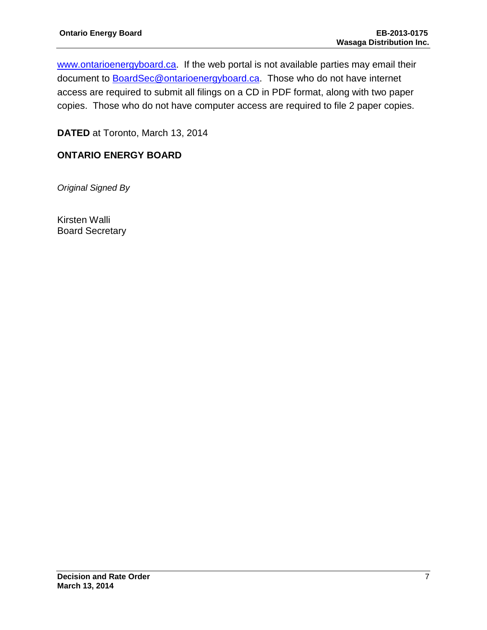[www.ontarioenergyboard.ca.](http://www.ontarioenergyboard.ca/) If the web portal is not available parties may email their document to **BoardSec@ontarioenergyboard.ca**. Those who do not have internet access are required to submit all filings on a CD in PDF format, along with two paper copies. Those who do not have computer access are required to file 2 paper copies.

**DATED** at Toronto, March 13, 2014

### **ONTARIO ENERGY BOARD**

*Original Signed By*

Kirsten Walli Board Secretary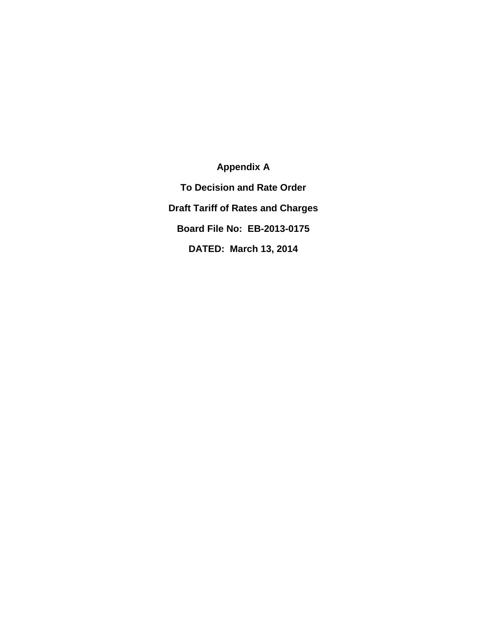**Appendix A To Decision and Rate Order Draft Tariff of Rates and Charges Board File No: EB-2013-0175 DATED: March 13, 2014**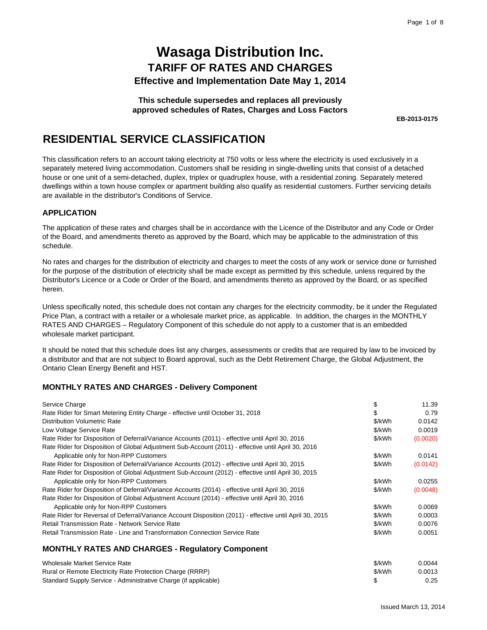**This schedule supersedes and replaces all previously approved schedules of Rates, Charges and Loss Factors**

**EB-2013-0175**

### **RESIDENTIAL SERVICE CLASSIFICATION**

This classification refers to an account taking electricity at 750 volts or less where the electricity is used exclusively in a separately metered living accommodation. Customers shall be residing in single-dwelling units that consist of a detached house or one unit of a semi-detached, duplex, triplex or quadruplex house, with a residential zoning. Separately metered dwellings within a town house complex or apartment building also qualify as residential customers. Further servicing details are available in the distributor's Conditions of Service.

### **APPLICATION**

The application of these rates and charges shall be in accordance with the Licence of the Distributor and any Code or Order of the Board, and amendments thereto as approved by the Board, which may be applicable to the administration of this schedule.

No rates and charges for the distribution of electricity and charges to meet the costs of any work or service done or furnished for the purpose of the distribution of electricity shall be made except as permitted by this schedule, unless required by the Distributor's Licence or a Code or Order of the Board, and amendments thereto as approved by the Board, or as specified herein.

Unless specifically noted, this schedule does not contain any charges for the electricity commodity, be it under the Regulated Price Plan, a contract with a retailer or a wholesale market price, as applicable. In addition, the charges in the MONTHLY RATES AND CHARGES – Regulatory Component of this schedule do not apply to a customer that is an embedded wholesale market participant.

It should be noted that this schedule does list any charges, assessments or credits that are required by law to be invoiced by a distributor and that are not subject to Board approval, such as the Debt Retirement Charge, the Global Adjustment, the Ontario Clean Energy Benefit and HST.

### **MONTHLY RATES AND CHARGES - Delivery Component**

Standard Supply Service - Administrative Charge (if applicable)

| Service Charge                                                                                           | S      | 11.39    |
|----------------------------------------------------------------------------------------------------------|--------|----------|
| Rate Rider for Smart Metering Entity Charge - effective until October 31, 2018                           |        | 0.79     |
| <b>Distribution Volumetric Rate</b>                                                                      | \$/kWh | 0.0142   |
| Low Voltage Service Rate                                                                                 | \$/kWh | 0.0019   |
| Rate Rider for Disposition of Deferral/Variance Accounts (2011) - effective until April 30, 2016         | \$/kWh | (0.0020) |
| Rate Rider for Disposition of Global Adjustment Sub-Account (2011) - effective until April 30, 2016      |        |          |
| Applicable only for Non-RPP Customers                                                                    | \$/kWh | 0.0141   |
| Rate Rider for Disposition of Deferral/Variance Accounts (2012) - effective until April 30, 2015         | \$/kWh | (0.0142) |
| Rate Rider for Disposition of Global Adjustment Sub-Account (2012) - effective until April 30, 2015      |        |          |
| Applicable only for Non-RPP Customers                                                                    | \$/kWh | 0.0255   |
| Rate Rider for Disposition of Deferral/Variance Accounts (2014) - effective until April 30, 2016         | \$/kWh | (0.0048) |
| Rate Rider for Disposition of Global Adjustment Account (2014) - effective until April 30, 2016          |        |          |
| Applicable only for Non-RPP Customers                                                                    | \$/kWh | 0.0069   |
| Rate Rider for Reversal of Deferral/Variance Account Disposition (2011) - effective until April 30, 2015 | \$/kWh | 0.0003   |
| Retail Transmission Rate - Network Service Rate                                                          | \$/kWh | 0.0076   |
| Retail Transmission Rate - Line and Transformation Connection Service Rate                               | \$/kWh | 0.0051   |
| <b>MONTHLY RATES AND CHARGES - Regulatory Component</b>                                                  |        |          |
| Wholesale Market Service Rate                                                                            | \$/kWh | 0.0044   |
| Rural or Remote Electricity Rate Protection Charge (RRRP)                                                | \$/kWh | 0.0013   |

\$ 0.25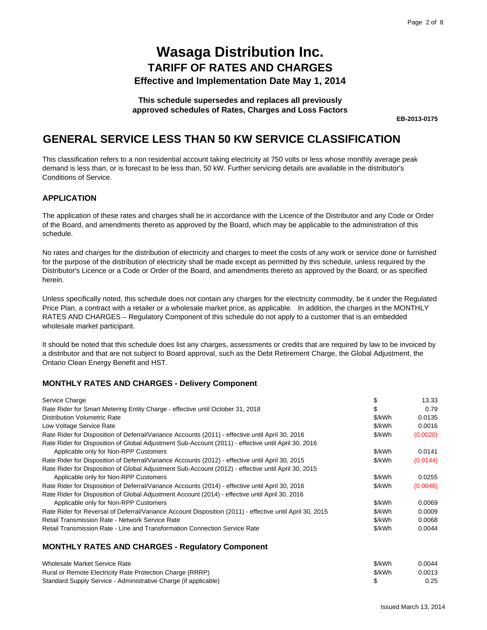#### **This schedule supersedes and replaces all previously approved schedules of Rates, Charges and Loss Factors**

**EB-2013-0175**

### **GENERAL SERVICE LESS THAN 50 KW SERVICE CLASSIFICATION**

This classification refers to a non residential account taking electricity at 750 volts or less whose monthly average peak demand is less than, or is forecast to be less than, 50 kW. Further servicing details are available in the distributor's Conditions of Service.

#### **APPLICATION**

The application of these rates and charges shall be in accordance with the Licence of the Distributor and any Code or Order of the Board, and amendments thereto as approved by the Board, which may be applicable to the administration of this schedule.

No rates and charges for the distribution of electricity and charges to meet the costs of any work or service done or furnished for the purpose of the distribution of electricity shall be made except as permitted by this schedule, unless required by the Distributor's Licence or a Code or Order of the Board, and amendments thereto as approved by the Board, or as specified herein.

Unless specifically noted, this schedule does not contain any charges for the electricity commodity, be it under the Regulated Price Plan, a contract with a retailer or a wholesale market price, as applicable. In addition, the charges in the MONTHLY RATES AND CHARGES – Regulatory Component of this schedule do not apply to a customer that is an embedded wholesale market participant.

It should be noted that this schedule does list any charges, assessments or credits that are required by law to be invoiced by a distributor and that are not subject to Board approval, such as the Debt Retirement Charge, the Global Adjustment, the Ontario Clean Energy Benefit and HST.

### **MONTHLY RATES AND CHARGES - Delivery Component**

| Service Charge                                                                                           | \$     | 13.33    |
|----------------------------------------------------------------------------------------------------------|--------|----------|
| Rate Rider for Smart Metering Entity Charge - effective until October 31, 2018                           | S      | 0.79     |
| <b>Distribution Volumetric Rate</b>                                                                      | \$/kWh | 0.0135   |
| Low Voltage Service Rate                                                                                 | \$/kWh | 0.0016   |
| Rate Rider for Disposition of Deferral/Variance Accounts (2011) - effective until April 30, 2016         | \$/kWh | (0.0020) |
| Rate Rider for Disposition of Global Adjustment Sub-Account (2011) - effective until April 30, 2016      |        |          |
| Applicable only for Non-RPP Customers                                                                    | \$/kWh | 0.0141   |
| Rate Rider for Disposition of Deferral/Variance Accounts (2012) - effective until April 30, 2015         | \$/kWh | (0.0144) |
| Rate Rider for Disposition of Global Adjustment Sub-Account (2012) - effective until April 30, 2015      |        |          |
| Applicable only for Non-RPP Customers                                                                    | \$/kWh | 0.0255   |
| Rate Rider for Disposition of Deferral/Variance Accounts (2014) - effective until April 30, 2016         | \$/kWh | (0.0048) |
| Rate Rider for Disposition of Global Adjustment Account (2014) - effective until April 30, 2016          |        |          |
| Applicable only for Non-RPP Customers                                                                    | \$/kWh | 0.0069   |
| Rate Rider for Reversal of Deferral/Variance Account Disposition (2011) - effective until April 30, 2015 | \$/kWh | 0.0009   |
| Retail Transmission Rate - Network Service Rate                                                          | \$/kWh | 0.0068   |
| Retail Transmission Rate - Line and Transformation Connection Service Rate                               | \$/kWh | 0.0044   |
| <b>MONTHLY RATES AND CHARGES - Regulatory Component</b>                                                  |        |          |

| Wholesale Market Service Rate                                   | \$/kWh | 0.0044 |
|-----------------------------------------------------------------|--------|--------|
| Rural or Remote Electricity Rate Protection Charge (RRRP)       | \$/kWh | 0.0013 |
| Standard Supply Service - Administrative Charge (if applicable) |        | 0.25   |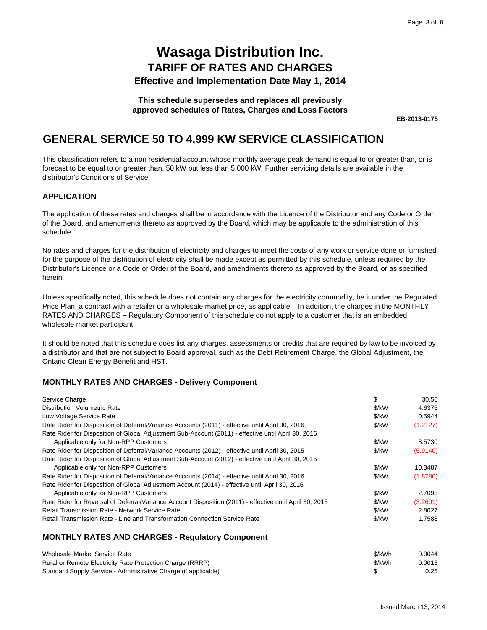#### **This schedule supersedes and replaces all previously approved schedules of Rates, Charges and Loss Factors**

**EB-2013-0175**

### **GENERAL SERVICE 50 TO 4,999 KW SERVICE CLASSIFICATION**

This classification refers to a non residential account whose monthly average peak demand is equal to or greater than, or is forecast to be equal to or greater than, 50 kW but less than 5,000 kW. Further servicing details are available in the distributor's Conditions of Service.

### **APPLICATION**

The application of these rates and charges shall be in accordance with the Licence of the Distributor and any Code or Order of the Board, and amendments thereto as approved by the Board, which may be applicable to the administration of this schedule.

No rates and charges for the distribution of electricity and charges to meet the costs of any work or service done or furnished for the purpose of the distribution of electricity shall be made except as permitted by this schedule, unless required by the Distributor's Licence or a Code or Order of the Board, and amendments thereto as approved by the Board, or as specified herein.

Unless specifically noted, this schedule does not contain any charges for the electricity commodity, be it under the Regulated Price Plan, a contract with a retailer or a wholesale market price, as applicable. In addition, the charges in the MONTHLY RATES AND CHARGES – Regulatory Component of this schedule do not apply to a customer that is an embedded wholesale market participant.

It should be noted that this schedule does list any charges, assessments or credits that are required by law to be invoiced by a distributor and that are not subject to Board approval, such as the Debt Retirement Charge, the Global Adjustment, the Ontario Clean Energy Benefit and HST.

### **MONTHLY RATES AND CHARGES - Delivery Component**

| Service Charge                                                                                           | \$                | 30.56    |
|----------------------------------------------------------------------------------------------------------|-------------------|----------|
| <b>Distribution Volumetric Rate</b>                                                                      | \$/kW             | 4.6376   |
| Low Voltage Service Rate                                                                                 | \$/kW             | 0.5944   |
| Rate Rider for Disposition of Deferral/Variance Accounts (2011) - effective until April 30, 2016         | \$/kW             | (1.2127) |
| Rate Rider for Disposition of Global Adjustment Sub-Account (2011) - effective until April 30, 2016      |                   |          |
| Applicable only for Non-RPP Customers                                                                    | \$/kW             | 8.5730   |
| Rate Rider for Disposition of Deferral/Variance Accounts (2012) - effective until April 30, 2015         | \$/kW             | (5.9140) |
| Rate Rider for Disposition of Global Adjustment Sub-Account (2012) - effective until April 30, 2015      |                   |          |
| Applicable only for Non-RPP Customers                                                                    | \$/kW             | 10.3487  |
| Rate Rider for Disposition of Deferral/Variance Accounts (2014) - effective until April 30, 2016         | \$/kW             | (1.8780) |
| Rate Rider for Disposition of Global Adjustment Account (2014) - effective until April 30, 2016          |                   |          |
| Applicable only for Non-RPP Customers                                                                    | \$/kW             | 2.7093   |
| Rate Rider for Reversal of Deferral/Variance Account Disposition (2011) - effective until April 30, 2015 | $\frac{1}{2}$ /kW | (3.2601) |
| <b>Retail Transmission Rate - Network Service Rate</b>                                                   | $\frac{1}{2}$ /kW | 2.8027   |
| Retail Transmission Rate - Line and Transformation Connection Service Rate                               | \$/kW             | 1.7588   |
|                                                                                                          |                   |          |

### **MONTHLY RATES AND CHARGES - Regulatory Component**

| Wholesale Market Service Rate                                   | \$/kWh | 0.0044 |
|-----------------------------------------------------------------|--------|--------|
| Rural or Remote Electricity Rate Protection Charge (RRRP)       | \$/kWh | 0.0013 |
| Standard Supply Service - Administrative Charge (if applicable) |        | 0.25   |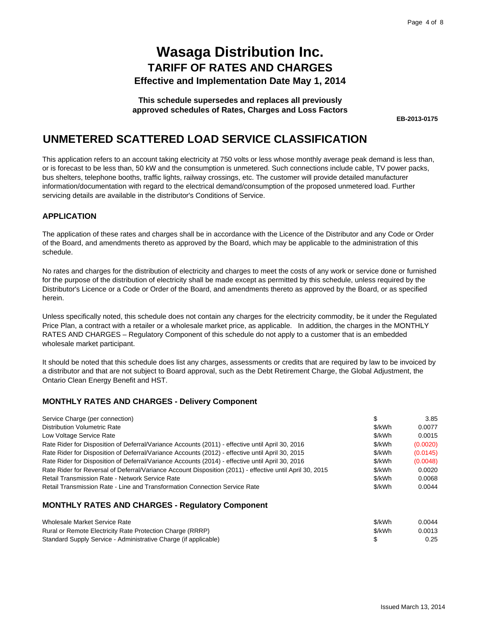#### **This schedule supersedes and replaces all previously approved schedules of Rates, Charges and Loss Factors**

**EB-2013-0175**

### **UNMETERED SCATTERED LOAD SERVICE CLASSIFICATION**

This application refers to an account taking electricity at 750 volts or less whose monthly average peak demand is less than, or is forecast to be less than, 50 kW and the consumption is unmetered. Such connections include cable, TV power packs, bus shelters, telephone booths, traffic lights, railway crossings, etc. The customer will provide detailed manufacturer information/documentation with regard to the electrical demand/consumption of the proposed unmetered load. Further servicing details are available in the distributor's Conditions of Service.

### **APPLICATION**

The application of these rates and charges shall be in accordance with the Licence of the Distributor and any Code or Order of the Board, and amendments thereto as approved by the Board, which may be applicable to the administration of this schedule.

No rates and charges for the distribution of electricity and charges to meet the costs of any work or service done or furnished for the purpose of the distribution of electricity shall be made except as permitted by this schedule, unless required by the Distributor's Licence or a Code or Order of the Board, and amendments thereto as approved by the Board, or as specified herein.

Unless specifically noted, this schedule does not contain any charges for the electricity commodity, be it under the Regulated Price Plan, a contract with a retailer or a wholesale market price, as applicable. In addition, the charges in the MONTHLY RATES AND CHARGES – Regulatory Component of this schedule do not apply to a customer that is an embedded wholesale market participant.

It should be noted that this schedule does list any charges, assessments or credits that are required by law to be invoiced by a distributor and that are not subject to Board approval, such as the Debt Retirement Charge, the Global Adjustment, the Ontario Clean Energy Benefit and HST.

### **MONTHLY RATES AND CHARGES - Delivery Component**

| Service Charge (per connection)                                                                          | \$     | 3.85     |
|----------------------------------------------------------------------------------------------------------|--------|----------|
| <b>Distribution Volumetric Rate</b>                                                                      | \$/kWh | 0.0077   |
| Low Voltage Service Rate                                                                                 | \$/kWh | 0.0015   |
| Rate Rider for Disposition of Deferral/Variance Accounts (2011) - effective until April 30, 2016         | \$/kWh | (0.0020) |
| Rate Rider for Disposition of Deferral/Variance Accounts (2012) - effective until April 30, 2015         | \$/kWh | (0.0145) |
| Rate Rider for Disposition of Deferral/Variance Accounts (2014) - effective until April 30, 2016         | \$/kWh | (0.0048) |
| Rate Rider for Reversal of Deferral/Variance Account Disposition (2011) - effective until April 30, 2015 | \$/kWh | 0.0020   |
| Retail Transmission Rate - Network Service Rate                                                          | \$/kWh | 0.0068   |
| Retail Transmission Rate - Line and Transformation Connection Service Rate                               | \$/kWh | 0.0044   |
|                                                                                                          |        |          |

### **MONTHLY RATES AND CHARGES - Regulatory Component**

| Wholesale Market Service Rate                                   | \$/kWh | 0.0044 |
|-----------------------------------------------------------------|--------|--------|
| Rural or Remote Electricity Rate Protection Charge (RRRP)       | \$/kWh | 0.0013 |
| Standard Supply Service - Administrative Charge (if applicable) |        | 0.25   |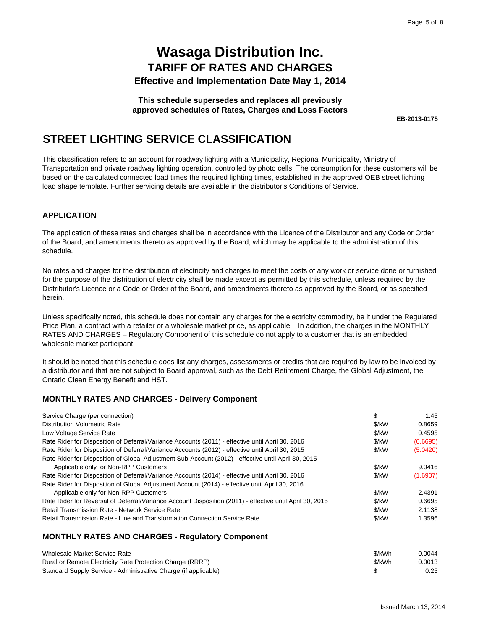**This schedule supersedes and replaces all previously approved schedules of Rates, Charges and Loss Factors**

**EB-2013-0175**

### **STREET LIGHTING SERVICE CLASSIFICATION**

This classification refers to an account for roadway lighting with a Municipality, Regional Municipality, Ministry of Transportation and private roadway lighting operation, controlled by photo cells. The consumption for these customers will be based on the calculated connected load times the required lighting times, established in the approved OEB street lighting load shape template. Further servicing details are available in the distributor's Conditions of Service.

#### **APPLICATION**

The application of these rates and charges shall be in accordance with the Licence of the Distributor and any Code or Order of the Board, and amendments thereto as approved by the Board, which may be applicable to the administration of this schedule.

No rates and charges for the distribution of electricity and charges to meet the costs of any work or service done or furnished for the purpose of the distribution of electricity shall be made except as permitted by this schedule, unless required by the Distributor's Licence or a Code or Order of the Board, and amendments thereto as approved by the Board, or as specified herein.

Unless specifically noted, this schedule does not contain any charges for the electricity commodity, be it under the Regulated Price Plan, a contract with a retailer or a wholesale market price, as applicable. In addition, the charges in the MONTHLY RATES AND CHARGES – Regulatory Component of this schedule do not apply to a customer that is an embedded wholesale market participant.

It should be noted that this schedule does list any charges, assessments or credits that are required by law to be invoiced by a distributor and that are not subject to Board approval, such as the Debt Retirement Charge, the Global Adjustment, the Ontario Clean Energy Benefit and HST.

### **MONTHLY RATES AND CHARGES - Delivery Component**

| Service Charge (per connection)                                                                          | \$    | 1.45     |
|----------------------------------------------------------------------------------------------------------|-------|----------|
| <b>Distribution Volumetric Rate</b>                                                                      | \$/kW | 0.8659   |
| Low Voltage Service Rate                                                                                 | \$/kW | 0.4595   |
| Rate Rider for Disposition of Deferral/Variance Accounts (2011) - effective until April 30, 2016         | \$/kW | (0.6695) |
| Rate Rider for Disposition of Deferral/Variance Accounts (2012) - effective until April 30, 2015         | \$/kW | (5.0420) |
| Rate Rider for Disposition of Global Adjustment Sub-Account (2012) - effective until April 30, 2015      |       |          |
| Applicable only for Non-RPP Customers                                                                    | \$/kW | 9.0416   |
| Rate Rider for Disposition of Deferral/Variance Accounts (2014) - effective until April 30, 2016         | \$/kW | (1.6907) |
| Rate Rider for Disposition of Global Adjustment Account (2014) - effective until April 30, 2016          |       |          |
| Applicable only for Non-RPP Customers                                                                    | \$/kW | 2.4391   |
| Rate Rider for Reversal of Deferral/Variance Account Disposition (2011) - effective until April 30, 2015 | \$/kW | 0.6695   |
| Retail Transmission Rate - Network Service Rate                                                          | \$/kW | 2.1138   |
| Retail Transmission Rate - Line and Transformation Connection Service Rate                               | \$/kW | 1.3596   |
| <b>MONTHLY RATES AND CHARGES - Regulatory Component</b>                                                  |       |          |

| Wholesale Market Service Rate                                   | \$/kWh | 0.0044 |
|-----------------------------------------------------------------|--------|--------|
| Rural or Remote Electricity Rate Protection Charge (RRRP)       | \$/kWh | 0.0013 |
| Standard Supply Service - Administrative Charge (if applicable) |        | 0.25   |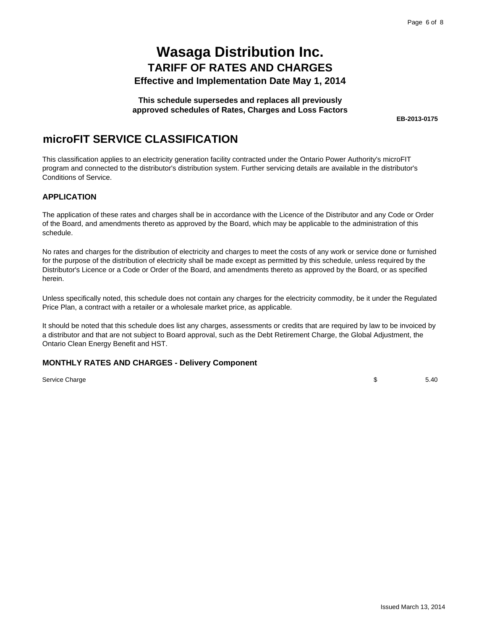#### **This schedule supersedes and replaces all previously approved schedules of Rates, Charges and Loss Factors**

**EB-2013-0175**

### **microFIT SERVICE CLASSIFICATION**

This classification applies to an electricity generation facility contracted under the Ontario Power Authority's microFIT program and connected to the distributor's distribution system. Further servicing details are available in the distributor's Conditions of Service.

### **APPLICATION**

The application of these rates and charges shall be in accordance with the Licence of the Distributor and any Code or Order of the Board, and amendments thereto as approved by the Board, which may be applicable to the administration of this schedule.

No rates and charges for the distribution of electricity and charges to meet the costs of any work or service done or furnished for the purpose of the distribution of electricity shall be made except as permitted by this schedule, unless required by the Distributor's Licence or a Code or Order of the Board, and amendments thereto as approved by the Board, or as specified herein.

Unless specifically noted, this schedule does not contain any charges for the electricity commodity, be it under the Regulated Price Plan, a contract with a retailer or a wholesale market price, as applicable.

It should be noted that this schedule does list any charges, assessments or credits that are required by law to be invoiced by a distributor and that are not subject to Board approval, such as the Debt Retirement Charge, the Global Adjustment, the Ontario Clean Energy Benefit and HST.

### **MONTHLY RATES AND CHARGES - Delivery Component**

Service Charge

\$ 5.40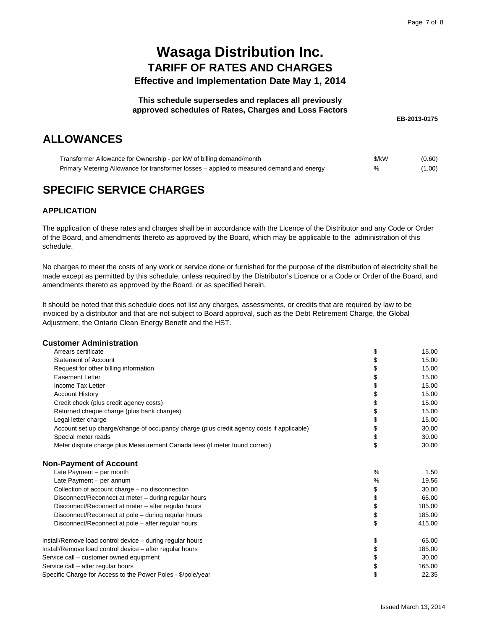#### **This schedule supersedes and replaces all previously approved schedules of Rates, Charges and Loss Factors**

**EB-2013-0175**

### **ALLOWANCES**

| Transformer Allowance for Ownership - per kW of billing demand/month                      | \$/kW | (0.60) |
|-------------------------------------------------------------------------------------------|-------|--------|
| Primary Metering Allowance for transformer losses – applied to measured demand and energy |       | (1.00) |

## **SPECIFIC SERVICE CHARGES**

### **APPLICATION**

The application of these rates and charges shall be in accordance with the Licence of the Distributor and any Code or Order of the Board, and amendments thereto as approved by the Board, which may be applicable to the administration of this schedule.

No charges to meet the costs of any work or service done or furnished for the purpose of the distribution of electricity shall be made except as permitted by this schedule, unless required by the Distributor's Licence or a Code or Order of the Board, and amendments thereto as approved by the Board, or as specified herein.

It should be noted that this schedule does not list any charges, assessments, or credits that are required by law to be invoiced by a distributor and that are not subject to Board approval, such as the Debt Retirement Charge, the Global Adjustment, the Ontario Clean Energy Benefit and the HST.

#### **Customer Administration**

| Arrears certificate                                                                       | \$ | 15.00  |
|-------------------------------------------------------------------------------------------|----|--------|
| Statement of Account                                                                      | \$ | 15.00  |
| Request for other billing information                                                     | \$ | 15.00  |
| <b>Easement Letter</b>                                                                    | \$ | 15.00  |
| Income Tax Letter                                                                         | \$ | 15.00  |
| <b>Account History</b>                                                                    | \$ | 15.00  |
| Credit check (plus credit agency costs)                                                   | \$ | 15.00  |
| Returned cheque charge (plus bank charges)                                                | \$ | 15.00  |
| Legal letter charge                                                                       | \$ | 15.00  |
| Account set up charge/change of occupancy charge (plus credit agency costs if applicable) | \$ | 30.00  |
| Special meter reads                                                                       | \$ | 30.00  |
| Meter dispute charge plus Measurement Canada fees (if meter found correct)                | \$ | 30.00  |
| <b>Non-Payment of Account</b>                                                             |    |        |
| Late Payment - per month                                                                  | %  | 1.50   |
| Late Payment - per annum                                                                  | %  | 19.56  |
| Collection of account charge - no disconnection                                           | \$ | 30.00  |
| Disconnect/Reconnect at meter - during regular hours                                      | \$ | 65.00  |
| Disconnect/Reconnect at meter – after regular hours                                       | \$ | 185.00 |
| Disconnect/Reconnect at pole - during regular hours                                       | \$ | 185.00 |
| Disconnect/Reconnect at pole – after regular hours                                        | \$ | 415.00 |
| Install/Remove load control device - during regular hours                                 | \$ | 65.00  |
| Install/Remove load control device - after regular hours                                  | \$ | 185.00 |
| Service call – customer owned equipment                                                   | \$ | 30.00  |
| Service call - after regular hours                                                        | \$ | 165.00 |
| Specific Charge for Access to the Power Poles - \$/pole/year                              | \$ | 22.35  |